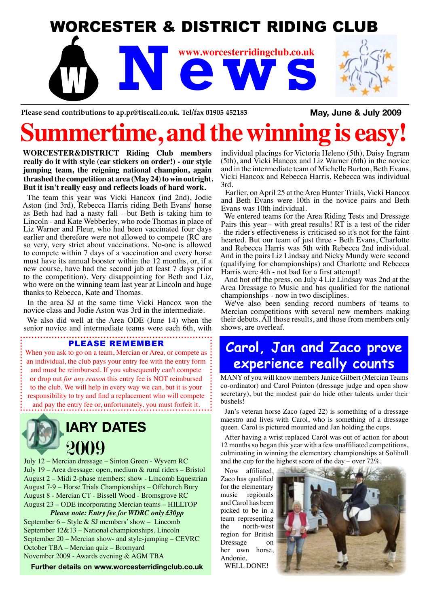## WORCESTER & DISTRICT RIDING CLUB

**News** WWW.Worcesterridingclub.co.uk **www.worcesterridingclub.co.uk**

Please send contributions to ap.pr@tiscali.co.uk. Tel/fax 01905 452183 **May, June & July 2009** 

# ime, and the winni

**WORCESTER&DISTRICT Riding Club members really do it with style (car stickers on order!) - our style jumping team, the reigning national champion, again thrashed the competition at area (May 24) to win outright. But it isn't really easy and reflects loads of hard work.**

The team this year was Vicki Hancox (ind 2nd), Jodie Aston (ind 3rd), Rebecca Harris riding Beth Evans' horse as Beth had had a nasty fall - but Beth is taking him to Lincoln - and Kate Webberley, who rode Thomas in place of Liz Warner and Fleur, who had been vaccinated four days earlier and therefore were not allowed to compete (RC are so very, very strict about vaccinations. No-one is allowed to compete within 7 days of a vaccination and every horse must have its annual booster within the 12 months, or, if a new course, have had the second jab at least 7 days prior to the competition). Very disappointing for Beth and Liz, who were on the winning team last year at Lincoln and huge thanks to Rebecca, Kate and Thomas.

In the area SJ at the same time Vicki Hancox won the novice class and Jodie Aston was 3rd in the intermediate.

We also did well at the Area ODE (June 14) when the senior novice and intermediate teams were each 6th, with

#### PLEASE REMEMBER

When you ask to go on a team, Mercian or Area, or compete as: an individual, the club pays your entry fee with the entry form and must be reimbursed. If you subsequently can't compete or drop out *for any reason* this entry fee is NOT reimbursed to the club. We will help in every way we can, but it is your responsibility to try and find a replacement who will compete and pay the entry fee or, unfortunately, you must forfeit it.



July 12 – Mercian dressage – Sinton Green - Wyvern RC July 19 – Area dressage: open, medium & rural riders – Bristol August 2 – Midi 2-phase members; show - Lincomb Equestrian August 7-9 – Horse Trials Championships – Offchurch Bury August 8 - Mercian CT - Bissell Wood - Bromsgrove RC August 23 – ODE incorporating Mercian teams – HILLTOP

*Please note: Entry fee for WDRC only £30pp* September  $6 -$  Style & SJ members' show  $-$  Lincomb September 12&13 – National championships, Lincoln September 20 – Mercian show- and style-jumping – CEVRC October TBA – Mercian quiz – Bromyard November 2009 - Awards evening & AGM TBA

**Further details on www.worcesterridingclub.co.uk**

individual placings for Victoria Heleno (5th), Daisy Ingram (5th), and Vicki Hancox and Liz Warner (6th) in the novice and in the intermediate team of Michelle Burton, Beth Evans, Vicki Hancox and Rebecca Harris, Rebecca was individual 3rd.

Earlier, on April 25 at the Area Hunter Trials, Vicki Hancox and Beth Evans were 10th in the novice pairs and Beth Evans was 10th individual.

We entered teams for the Area Riding Tests and Dressage Pairs this year - with great results! RT is a test of the rider - the rider's effectiveness is criticised so it's not for the fainthearted. But our team of just three - Beth Evans, Charlotte and Rebecca Harris was 5th with Rebecca 2nd individual. And in the pairs Liz Lindsay and Nicky Mundy were second (qualifying for championships) and Charlotte and Rebecca Harris were 4th - not bad for a first attempt!

And hot off the press, on July 4 Liz Lindsay was 2nd at the Area Dressage to Music and has qualified for the national championships - now in two disciplines.

We've also been sending record numbers of teams to Mercian competitions with several new members making their debuts. All those results, and those from members only shows, are overleaf.

### **Carol, Jan and Zaco prove experience really counts**

MANY of you will know members Janice Gilbert (Mercian Teams co-ordinator) and Carol Pointon (dressage judge and open show secretary), but the modest pair do hide other talents under their bushels!

Jan's veteran horse Zaco (aged 22) is something of a dressage maestro and lives with Carol, who is something of a dressage queen. Carol is pictured mounted and Jan holding the cups.

After having a wrist replaced Carol was out of action for about 12 months so began this year with a few unaffiliated competitions, culminating in winning the elementary championships at Solihull and the cup for the highest score of the day – over 72%.

Now affiliated, Zaco has qualified for the elementary music regionals and Carol has been picked to be in a team representing the north-west region for British Dressage on her own horse, Andonie. WELL DONE!

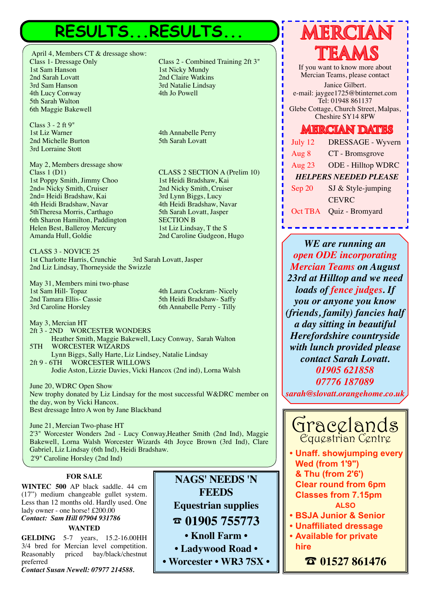## RESULTS...RESULTS...

April 4, Members CT & dressage show: Class 1- Dressage Only Class 2 - Combined Training 2ft 3" 1st Sam Hanson 1st Nicky Mundy<br>
2nd Sarah Lovatt 2nd Claire Watkin 2nd Sarah Lovatt 2nd Claire Watkins<br>
2nd Sam Hanson 2nd Natalie Lindsay 4th Lucy Conway 5th Sarah Walton 6th Maggie Bakewell

Class 3 - 2 ft 9" 2nd Michelle Burton 3rd Lorraine Stott

May 2, Members dressage show CLASS 2 SECTION A (Prelim 10)<br>1st Poppy Smith, Jimmy Choo 1st Heidi Bradshaw, Kai 1st Poppy Smith, Jimmy Choo 1st Heidi Bradshaw, Kai<br>
2nd = Nicky Smith, Cruiser 2nd Nicky Smith, Cruiser 2nd= Nicky Smith, Cruiser 2nd= Heidi Bradshaw, Kai 3rd Lynn Biggs, Lucy 4th Heidi Bradshaw, Navar 4th Heidi Bradshaw, Navar 5thTheresa Morris, Carthago 6th Sharon Hamilton, Paddington SECTION B Helen Best, Balleroy Mercury 1st Liz Lindsay, T the S<br>
Amanda Hull, Goldie 2nd Caroline Gudgeon,

CLASS 3 - NOVICE 25 1st Charlotte Harris, Crunchie 3rd Sarah Lovatt, Jasper 2nd Liz Lindsay, Thorneyside the Swizzle

May 31, Members mini two-phase 1st Sam Hill- Topaz 4th Laura Cockram- Nicely 2nd Tamara Ellis- Cassie 5th Heidi Bradshaw- Saffy<br>
3rd Caroline Horsley 6th Annabelle Perry - Tilly

6th Annabelle Perry - Tilly

May 3, Mercian HT 2ft 3 - 2ND WORCESTER WONDERS Heather Smith, Maggie Bakewell, Lucy Conway, Sarah Walton 5TH WORCESTER WIZARDS Lynn Biggs, Sally Harte, Liz Lindsey, Natalie Lindsay 2ft 9 - 6TH WORCESTER WILLOWS

Jodie Aston, Lizzie Davies, Vicki Hancox (2nd ind), Lorna Walsh

June 20, WDRC Open Show New trophy donated by Liz Lindsay for the most successful W&DRC member on the day, won by Vicki Hancox. Best dressage Intro A won by Jane Blackband

June 21, Mercian Two-phase HT 2'3" Worcester Wonders 2nd - Lucy Conway,Heather Smith (2nd Ind), Maggie Bakewell, Lorna Walsh Worcester Wizards 4th Joyce Brown (3rd Ind), Clare Gabriel, Liz Lindsay (6th Ind), Heidi Bradshaw. 2'9" Caroline Horsley (2nd Ind)

#### **FOR SALE**

**WINTEC 500** AP black saddle. 44 cm (17") medium changeable gullet system. Less than 12 months old. Hardly used. One lady owner - one horse! £200.00 *Contact: Sam Hill 07904 931786*

#### **WANTED**

**GELDING** 5-7 years, 15.2-16.00HH 3/4 bred for Mercian level competition. Reasonably priced bay/black/chestnut preferred

*Contact Susan Newell: 07977 214588.*

**NAGS' NEEDS 'N FEEDS Equestrian supplies** % **01905 755773 • Knoll Farm • • Ladywood Road •** 

**• Worcester • WR3 7SX •**

3rd Natalie Lindsay<br>4th Jo Powell

4th Annabelle Perry<br>5th Sarah Lovatt

2nd Caroline Gudgeon, Hugo



If you want to know more about Mercian Teams, please contact Janice Gilbert. e-mail: jaygee1725@btinternet.com Tel: 01948 861137 Glebe Cottage, Church Street, Malpas, Cheshire SY14 8PW

### **MERCIAN DATES**

| July 12                      | DRESSAGE - Wyvern         |
|------------------------------|---------------------------|
| Aug 8                        | CT - Bromsgrove           |
| Aug 23                       | <b>ODE - Hilltop WDRC</b> |
| <b>HELPERS NEEDED PLEASE</b> |                           |
| Sep 20                       | SJ & Style-jumping        |
|                              | <b>CEVRC</b>              |
| Oct TBA                      | Quiz - Bromyard           |

*WE are running an open ODE incorporating Mercian Teams on August 23rd at Hilltop and we need loads of fence judges. If you or anyone you know (friends, family) fancies half a day sitting in beautiful Herefordshire countryside with lunch provided please contact Sarah Lovatt. 01905 621858 07776 187089*

*sarah@slovatt.orangehome.co.uk*



**• Unaff. showjumping every Wed (from 1'9") & Thu (from 2'6') Clear round from 6pm Classes from 7.15pm ALSO**

- **• BSJA Junior & Senior**
- **• Unaffiliated dressage**
- **• Available for private hire**

% **01527 861476**